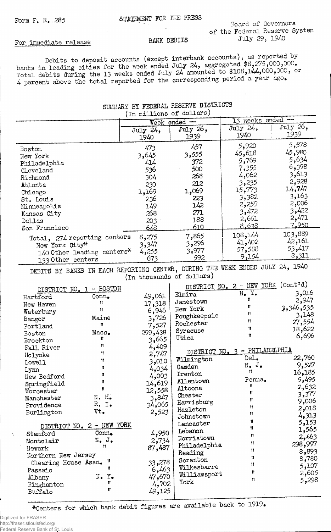## Form F. R. 285 STATEMENT FOR THE PRESS Board of Governors of the Federal Reserve System<br>July 29, 1940

## For immediate release BANK DEBITS

Debits to deposit accounts (except interbank accounts) ' banks in leading cities for the week ended July 24, aggregated  $$8/5,000,000.000$ . Total debits during the 13 weeks ended July  $24$  amounted to  $$108,144,000,000,$  or  $4$  percent above the total reported for the corresponding period a year ago.

## SUMMARY BY FEDERAL RESERVE DISTRICTS (in millions of dollars)

|                                                                                                            | Week ended $-$ |                            | weeks ended --<br>$\overline{13}$                           |                |  |
|------------------------------------------------------------------------------------------------------------|----------------|----------------------------|-------------------------------------------------------------|----------------|--|
|                                                                                                            | July 24,       | July 26,                   | July $24$ ,                                                 | July 26,       |  |
|                                                                                                            | 1940           | 1939                       | 1940                                                        | 1939           |  |
| Boston                                                                                                     | 473            | 457                        | 5,920                                                       | 5,578          |  |
| New York                                                                                                   | 3,645          | 3,555                      | 45,618                                                      | 45,980         |  |
| Philadelphia                                                                                               | 414            | 372                        | 5,769                                                       | 5,634          |  |
| Cleveland                                                                                                  | 536            | 500                        | 7,355                                                       | 6,398          |  |
| Richmond                                                                                                   | 304            | 268                        | 4,062                                                       | 3,613          |  |
| Atlanta                                                                                                    | 230            | 212                        | 3,235                                                       | 2,928          |  |
| Chicago                                                                                                    | 1,169          | 1,069                      | 15,773                                                      | 14,747         |  |
| St. Louis                                                                                                  | 236            | 223                        | 3,382                                                       | 3,163          |  |
| Minneapolis                                                                                                | 149            | 142                        | 2,259                                                       | 2,006          |  |
| Kansas City                                                                                                | 268            | 271                        | 3,472                                                       | 3,422          |  |
| Dallas                                                                                                     | 203            | 188                        | 2,661                                                       | 2,471          |  |
| San Francisco                                                                                              | 648            | 610                        | 8.638                                                       | 7.950          |  |
| Total, 274 reporting centers                                                                               | 8,275          | 7,865                      | 108,144                                                     | 103,889        |  |
| New York City*                                                                                             | 3,347          | 3,296                      | 41,402                                                      | 42,161         |  |
| 140 Other leading centers*                                                                                 | 4,255          | 3,977                      | 57,588                                                      | 53,417         |  |
| 133 Other centers                                                                                          | 673            | 592                        | 9,154                                                       | 8,311          |  |
| DEBITS BY BANKS IN EACH REPORTING CENTER, DURING THE WEEK ENDED JULY 24, 1940<br>(In thousands of dollars) |                |                            |                                                             |                |  |
| DISTRICT NO. 1 - BOSTON<br>Conn.<br>Hartford<br>$\bullet$                                                  | 49,061         | Elmira<br><b>Tomostown</b> | DISTRICT NO. 2 - NEW YORK (Cont'd)<br>$N_{\bullet}$ Y.<br>Ħ | 3,016<br>2.947 |  |

| DISTRICT NO. 1       | $-$ ROSJOM                  |         | ntnintos uno |                       |           |
|----------------------|-----------------------------|---------|--------------|-----------------------|-----------|
| Hartford             | Conn.                       | 49,061  | Elmira       | $N_{\bullet}$ Y.<br>Ħ | 3,016     |
| New Haven            | Ħ                           | 17,318  | Jamestown    | Ħ                     | 2,947     |
| Waterbury            | Ħ                           | 6,946   | New York     | Ħ                     | 3,346,535 |
| Bangor               | Maine                       | 3,726   | Poughkeepsie | Ħ                     | 3,148     |
| Portland             | Ħ                           | 7,527   | Rochester    | $^{\bullet}$          | 27,554    |
| Boston               | Mass.                       | 299,438 | Syracuse     | $\mathbf{H}$          | 18,622    |
| Brockton             | Ħ                           | 3,665   | Utica        |                       | 6,696     |
| Fall River           | Ħ                           | 4,409   |              | - PHILADELPHIA        |           |
| Holyoke              | Ħ                           | 2,747   | DISTRICT NO. |                       |           |
| Lowel1               | Ħ                           | 3,010   | Wilmington   | DeI <sub>•</sub>      | 22,760    |
| Lynn                 | n                           | 4,034   | Camden       | N. J.<br>Ħ            | 9,527     |
| New Bedford          | Ħ                           | 4,003   | Trenton      |                       | 16,185    |
| Springfield          | Ħ                           | 14,619  | Allentown    | Penna.<br>Ħ           | 5,495     |
| Worcester            | Ħ                           | 12,558  | Altoona      | Ħ                     | 2,632     |
| Manchester           | N. H.                       | 3,847   | Chester      | Ħ                     | 3,377     |
| Providence           | $R_$ . I.                   | 34,065  | Harrisburg   | Ħ                     | 9,006     |
| Burlington           | Vt.                         | 2,523   | Hazleton     | 11                    | 2,018     |
|                      |                             |         | Johnstown    | Ħ                     | 4,313     |
|                      | DISTRICT NO. 2 - NEW YORK   |         | Lancaster    | 11                    | 5,153     |
| Stamford             | Conn.                       | 4,950   | Lebanon      | 11                    | 1,565     |
| Montelair            | $N_{\bullet}$ $J_{\bullet}$ | 2,734   | Norristown   |                       | 2,463     |
| Newark               | Ħ                           | 87,487  | Philadelphia | 11                    | 298,997   |
| Northern New Jersey  |                             | Reading | 11           | 8,893                 |           |
| Clearing House Assn. | -11                         | 33,278  | Scranton     | 11                    | 8,780     |
| Passaic              | 11                          | 6,463   | Wilkesbarre  | $\mathbf{H}$          | 5,107     |
| Albany               | $N_{\bullet}$ $Y_{\bullet}$ | 47,670  | Williamsport | n                     | 2,605     |
| Binghamton           | Ħ                           | 4,702   | York         | Ħ                     | 5,298     |
| Buffalo              | Ħ                           | 49,125  |              |                       |           |
|                      |                             |         |              |                       |           |

\*Centers for which bank debit figures are available back to 1919.

Digitized for FRASER http://fraser.stlouisfed.org/ Federal Reserve Bank of St. Louis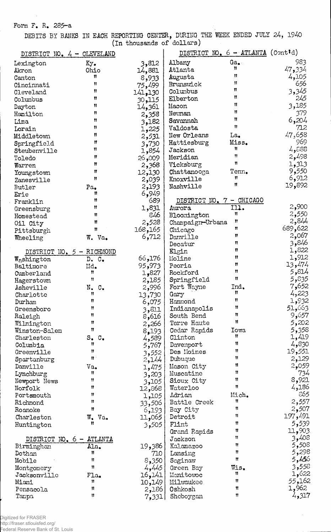Form F. R. 285-a

DEBITS BY BANKS IN EACH REPORTING CENTER, DURING THE WEEK ENDED JULY 24, 1940 (In thousands of dollars)

| DISTRICT NO. $4 - CLEVELAND$ |                                 |              | DISTRICT NO. 6 - ATLANTA (Contid) |                |         |
|------------------------------|---------------------------------|--------------|-----------------------------------|----------------|---------|
| Lexington                    | $Ky$ .                          | 3,812        | Albany                            | $Ga_{\bullet}$ | 983     |
| Akron                        | Ohio                            | 14,881       | Atlanta                           | Ħ              | 47,334  |
| Canton                       | 11.                             | 8,933        | Augusta                           | Ħ              | 4,105   |
| Cincinnati                   | 11                              | 75,499       | Brunswick                         | Ħ              | 656     |
| Cleveland                    | Ħ                               | 141,130      | Columbus                          | Ħ              | 3,345   |
| Columbus                     | n                               | 30,115       | Elberton                          | Ħ              | 245     |
| Dayton                       | Ħ                               | 14,361       | Macon                             | Ħ              | 3,185   |
| Hamilton                     | n                               | 2,358        | Neyman                            | Ħ              | 379     |
| Lima                         | Ħ                               | 3,182        | Savannah                          | Ħ              | 6,204   |
| Lorain                       | 11                              | 1,225        | Valdosta                          | 11             | 712     |
| Middletown                   | Ħ                               | 2,531        | New Orleans                       | La.            | 47,658  |
| Springfield                  | Ħ                               | 3,730        | Hattiesburg                       | Miss.          | 969     |
| Steubenville                 | Ħ                               | 1,854        | Jackson                           | Ħ              | 883و4   |
| Toledo                       | 11                              | 26,009       | Meridian                          | 11             | 2,498   |
| Warren                       | Ħ                               | 2,368        | Vicksburg                         | Ħ              | 1,313   |
|                              | 11                              |              | Chattanooga                       | Tenn.          | 9,550   |
| Youngstown                   | Ħ                               | 12,130       | Knoxville                         | 11             | 6,912   |
| Zanesville                   |                                 | 2,039        | Nashville                         | Ħ              | 19,892  |
| Butler                       | Pa.<br>n                        | 2,193        |                                   |                |         |
| Erie                         | Ħ                               | 6,949<br>689 | DISTRICT NO. 7 - CHICAGO          |                |         |
| Franklin                     | Ħ                               |              |                                   | 111.           | 2,900   |
| Greensburg                   | Ħ                               | 1,831        | Aurora                            | Ħ              | 2,550   |
| Homestead                    | Ħ                               | 846          | Bloomington                       | Ħ              | 2,844   |
| Oil City                     |                                 | 2,528        | Champaign-Urbana                  | Ħ              | 689,622 |
| Pittsburgh                   | Ħ                               | 168,165      | Chicago                           | $\mathbf{r}$   | 2,067   |
| Wheeling                     | W. Va.                          | 6,712        | Danville                          | Ħ              | 3,846   |
|                              |                                 |              | Decatur                           | U              | 1,822   |
| DISTRICT NO. 5 - RICHMOND    |                                 |              | Elgin                             | 11             | 1,912   |
| $Wa$ shington                | D. C.                           | 66,176       | Moline                            | 11             | 13,474  |
| Baltimore                    | Md.                             | 95,973       | Peoria                            | Ħ              | 5,814   |
| Cumberland                   | Ħ<br>Ħ                          | 1,827        | Rockford                          | Ħ              | 5,835   |
| Hagerstown                   |                                 | 2,185        | Springfield                       |                | 7,652   |
| Asheville                    | N.C.<br>11                      | 2,996        | Fort Wayne                        | Ind.<br>Ħ      | 4,223   |
| Charlotte                    | n                               | 13,730       | Gary                              | Ħ              |         |
| Durham                       | Ħ                               | 6,075        | Hammond                           | Ħ              | 1,932   |
| Greensboro                   | Ħ                               | 3,811        | Indianapolis                      | π              | 51,663  |
| Raleigh                      | Ħ                               | 8,616        | South Bend                        | Ħ              | 9,657   |
| Wilmington                   | Ħ                               | 2,266        | Terre Haute                       |                | 5,202   |
| Winston-Salem                |                                 | 8,193        | Cedar Rapids                      | Iowa<br>11     | 5,358   |
| Charleston                   | $s_{\bullet}$<br>$\circ$ .<br>Ħ | 4,589        | Clinton                           | 11             | 1,419   |
| Columbia                     | 11                              | 5,767        | Davenport                         | Ħ              | 4,830   |
| Greenville                   | ₩.                              | 3,552        | Des Moines                        | Ħ              | 19,551  |
| Spartanburg                  |                                 | 2,144        | Dubuque                           | Ħ              | 2,129   |
| Danville                     | $\mathtt{Va}_\bullet$           | 1,475        | Mason City                        | Ħ              | 2,059   |
| Lynchburg                    | Ħ                               | 3,203        | Muscatine                         | 11             | 734     |
| Newport News                 | Ħ                               | 3,105        | Sioux City                        | Ħ              | 8,921   |
| Norfolk                      | Ħ                               | 12,868       | Waterloo                          |                | 186و4   |
| Portsmouth                   | Ħ                               | 1,105        | Adrian                            | Mich.<br>Ħ     | ිර5     |
| Richmond                     | Ħ                               | 33,506       | Battle Creek                      |                | 2,557   |
| Roanoke                      | Ħ                               | 6,193        | Bay City                          | 11             | 2,507   |
| Charleston                   | W. Va.                          | 11,065       | Detroit                           | n              | 197,491 |
| Huntington                   | Ħ                               | 3,505        | Flint                             | Ħ              | 5,539   |
|                              |                                 |              | Grand Rapids                      | Ħ              | 11,903  |
| DISTRICT NO. 6 -             | <b>ATLANTA</b>                  |              | Jackson                           | n              | 3,408   |
| Birmingham                   | Ala.                            | 19,386       | Kalamazoo                         | Ħ              | 5,508   |
| Dothan                       | Ħ                               | 710          | Lansing                           | Ħ              | 5,298   |
| Mobile                       | Ħ                               | 8,350        | Saginaw                           | $^{\dagger}$   | 5,456   |
| Montgomery                   | 11                              | 4,445        | Green Bay                         | Wis.           | 558و 3  |
| Jacksonville                 | $F1a_{\bullet}$                 | 16,141       | Manitowoc                         | Ħ              | 1,622   |
| Miami                        | 11                              | 10,149       | Milwaukee                         | Ħ              | 55,162  |
| Pensacola                    | 11                              | 2,186        | Oshkosh                           | 11             | 1,962   |
| Tampa                        | Ħ                               | 7,331        | Sheboygan                         | Ħ              | 4,317   |